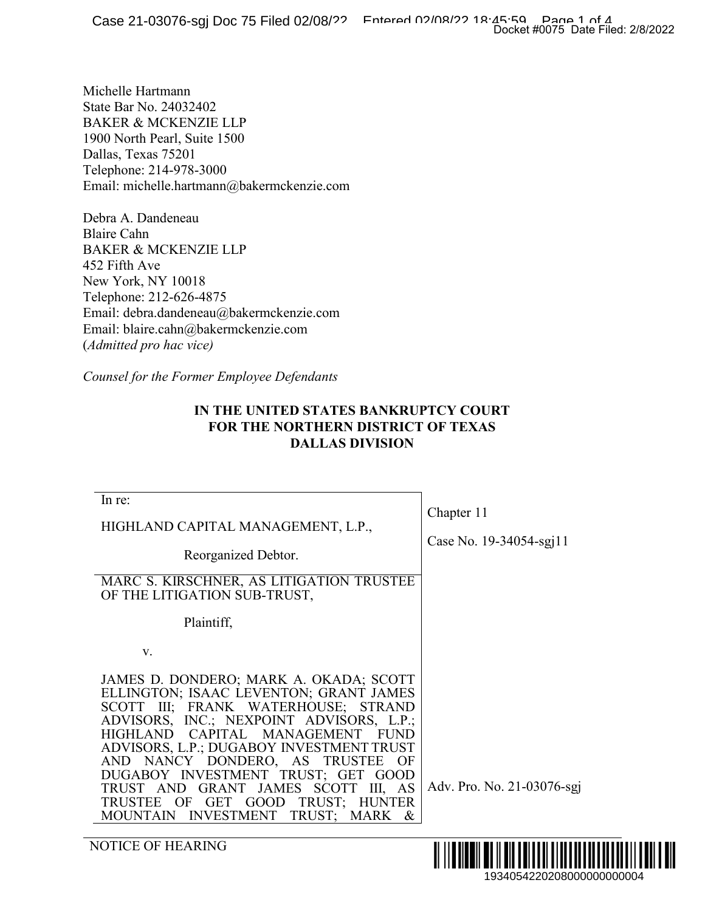## **IN THE UNITED STATES BANKRUPTCY COURT FOR THE NORTHERN DISTRICT OF TEXAS DALLAS DIVISION**

|                                                                                                                                                                                                                                                                                                                                                                                                                                                                                      | Docket #0075 Date Filed: 2/8/2022     |
|--------------------------------------------------------------------------------------------------------------------------------------------------------------------------------------------------------------------------------------------------------------------------------------------------------------------------------------------------------------------------------------------------------------------------------------------------------------------------------------|---------------------------------------|
| lichelle Hartmann<br>tate Bar No. 24032402<br><b>AKER &amp; MCKENZIE LLP</b><br>900 North Pearl, Suite 1500<br>allas, Texas 75201<br>elephone: 214-978-3000<br>mail: michelle.hartmann@bakermckenzie.com                                                                                                                                                                                                                                                                             |                                       |
| ebra A. Dandeneau<br>laire Cahn<br><b>AKER &amp; MCKENZIE LLP</b><br>52 Fifth Ave<br>lew York, NY 10018<br>elephone: 212-626-4875<br>mail: debra.dandeneau@bakermckenzie.com<br>mail: blaire.cahn@bakermckenzie.com<br>Admitted pro hac vice)                                                                                                                                                                                                                                        |                                       |
| ounsel for the Former Employee Defendants'<br>IN THE UNITED STATES BANKRUPTCY COURT<br><b>FOR THE NORTHERN DISTRICT OF TEXAS</b><br><b>DALLAS DIVISION</b>                                                                                                                                                                                                                                                                                                                           |                                       |
| In re:<br>HIGHLAND CAPITAL MANAGEMENT, L.P.,<br>Reorganized Debtor.<br>MARC S. KIRSCHNER, AS LITIGATION TRUSTEE<br>OF THE LITIGATION SUB-TRUST,<br>Plaintiff,                                                                                                                                                                                                                                                                                                                        | Chapter 11<br>Case No. 19-34054-sgj11 |
| V.<br>JAMES D. DONDERO; MARK A. OKADA; SCOTT<br>ELLINGTON; ISAAC LEVENTON; GRANT JAMES<br>SCOTT III; FRANK WATERHOUSE; STRAND<br>ADVISORS, INC.; NEXPOINT ADVISORS, L.P.;<br>CAPITAL MANAGEMENT<br><b>HIGHLAND</b><br><b>FUND</b><br>ADVISORS, L.P.; DUGABOY INVESTMENT TRUST<br>AND NANCY DONDERO, AS<br>TRUSTEE<br>OF<br>DUGABOY INVESTMENT TRUST; GET GOOD<br>TRUST AND GRANT JAMES SCOTT III, AS<br>TRUST; HUNTER<br>TRUSTEE OF GET GOOD<br>MOUNTAIN INVESTMENT<br>TRUST; MARK & | Adv. Pro. No. 21-03076-sgj            |
| NOTICE OF HEARING                                                                                                                                                                                                                                                                                                                                                                                                                                                                    | III III<br>1934054220208000000000004  |

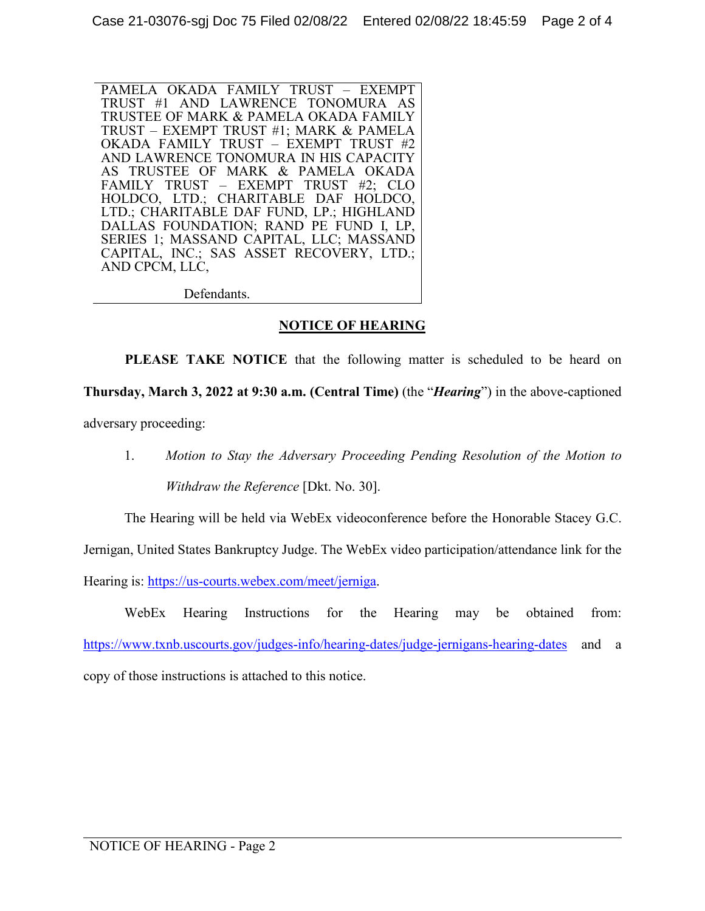PAMELA OKADA FAMILY TRUST – EXEMPT TRUST #1 AND LAWRENCE TONOMURA AS TRUSTEE OF MARK & PAMELA OKADA FAMILY TRUST – EXEMPT TRUST #1; MARK & PAMELA OKADA FAMILY TRUST – EXEMPT TRUST #2 AND LAWRENCE TONOMURA IN HIS CAPACITY AS TRUSTEE OF MARK & PAMELA OKADA FAMILY TRUST – EXEMPT TRUST #2; CLO HOLDCO, LTD.; CHARITABLE DAF HOLDCO, LTD.; CHARITABLE DAF FUND, LP.; HIGHLAND DALLAS FOUNDATION; RAND PE FUND I, LP, SERIES 1; MASSAND CAPITAL, LLC; MASSAND CAPITAL, INC.; SAS ASSET RECOVERY, LTD.; AND CPCM, LLC,

Defendants.

### **NOTICE OF HEARING**

**PLEASE TAKE NOTICE** that the following matter is scheduled to be heard on **Thursday, March 3, 2022 at 9:30 a.m. (Central Time)** (the "*Hearing*") in the above-captioned adversary proceeding:

1. *Motion to Stay the Adversary Proceeding Pending Resolution of the Motion to Withdraw the Reference* [Dkt. No. 30].

The Hearing will be held via WebEx videoconference before the Honorable Stacey G.C.

Jernigan, United States Bankruptcy Judge. The WebEx video participation/attendance link for the

Hearing is: https://us-courts.webex.com/meet/jerniga.

WebEx Hearing Instructions for the Hearing may be obtained from: https://www.txnb.uscourts.gov/judges-info/hearing-dates/judge-jernigans-hearing-dates and a copy of those instructions is attached to this notice.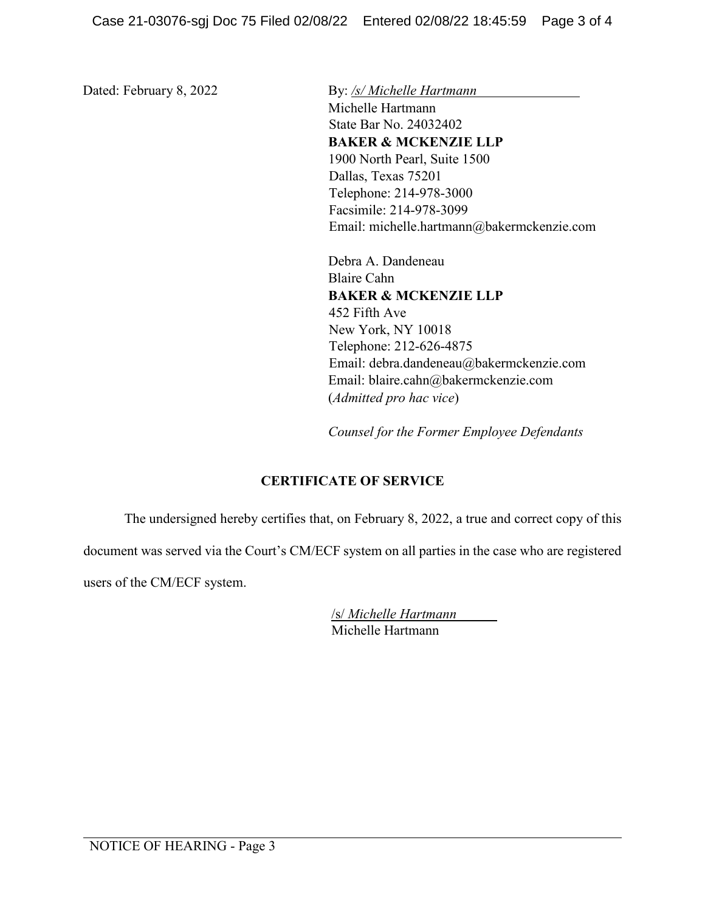Dated: February 8, 2022 By: /s/ *Michelle Hartmann* 

Michelle Hartmann State Bar No. 24032402 **BAKER & MCKENZIE LLP** 1900 North Pearl, Suite 1500 Dallas, Texas 75201 Telephone: 214-978-3000 Facsimile: 214-978-3099 Email: michelle.hartmann@bakermckenzie.com

Debra A. Dandeneau Blaire Cahn **BAKER & MCKENZIE LLP** 452 Fifth Ave New York, NY 10018 Telephone: 212-626-4875 Email: debra.dandeneau@bakermckenzie.com Email: blaire.cahn@bakermckenzie.com (*Admitted pro hac vice*)

*Counsel for the Former Employee Defendants* 

## **CERTIFICATE OF SERVICE**

The undersigned hereby certifies that, on February 8, 2022, a true and correct copy of this

document was served via the Court's CM/ECF system on all parties in the case who are registered

users of the CM/ECF system.

| /s/ Michelle Hartmann |  |
|-----------------------|--|
| Michelle Hartmann     |  |